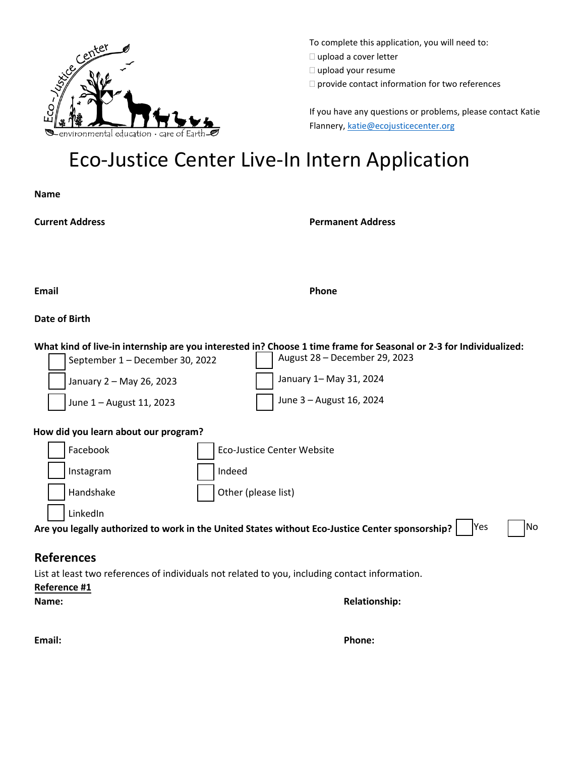

To complete this application, you will need to:  $\Box$  upload a cover letter

 $\square$  upload your resume

 $\Box$  provide contact information for two references

If you have any questions or problems, please contact Katie Flannery, [katie@ecojusticecenter.org](mailto:katie@ecojusticecenter.org)

# Eco-Justice Center Live-In Intern Application

**Name**

**Current Address Permanent Address**

**Email Phone**

#### **Date of Birth**

| What kind of live-in internship are you interested in? Choose 1 time frame for Seasonal or 2-3 for Individualized: |                               |  |  |  |  |  |  |  |
|--------------------------------------------------------------------------------------------------------------------|-------------------------------|--|--|--|--|--|--|--|
| September 1 - December 30, 2022                                                                                    | August 28 - December 29, 2023 |  |  |  |  |  |  |  |
| January 2 - May 26, 2023                                                                                           | January 1 - May 31, 2024      |  |  |  |  |  |  |  |
| June 1 - August 11, 2023                                                                                           | June 3 - August 16, 2024      |  |  |  |  |  |  |  |
| How did you learn about our program?                                                                               |                               |  |  |  |  |  |  |  |

|                                                                                                 | Facebook  |  | Eco-Justice Center Website |            |    |
|-------------------------------------------------------------------------------------------------|-----------|--|----------------------------|------------|----|
|                                                                                                 | Instagram |  | Indeed                     |            |    |
|                                                                                                 | Handshake |  | Other (please list)        |            |    |
|                                                                                                 | LinkedIn  |  |                            |            |    |
| Are you legally authorized to work in the United States without Eco-Justice Center sponsorship? |           |  |                            | <b>Yes</b> | No |

### **References**

List at least two references of individuals not related to you, including contact information.

#### **Reference #1**

#### **Name: Relationship:**

**Email: Phone:**